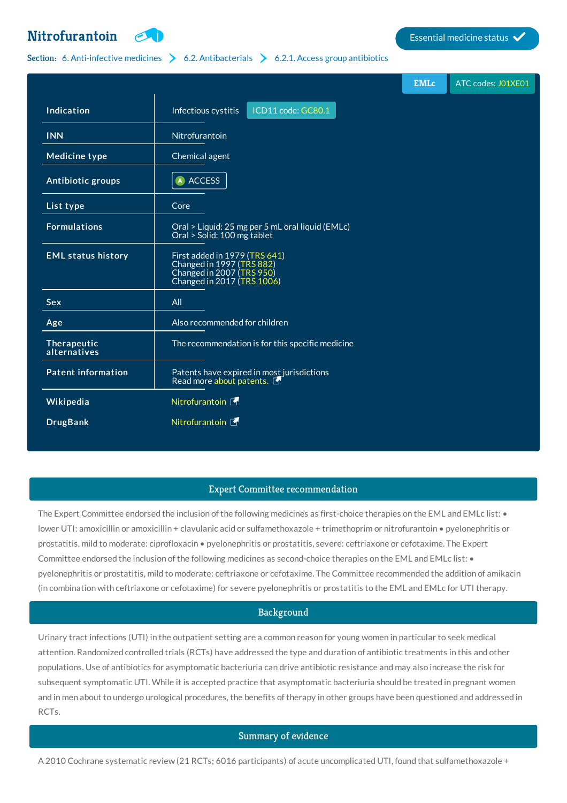# **[Nitrofurantoin](http://list.essentialmeds.org/medicines/301) Extending the Contract of Contract of Contract of Contract of Contract of Contract of Contract of Contract of Contract of Contract of Contract of Contract of Contract of Contract of Contract of Contract o**



# Section: 6. [Anti-infective](http://list.essentialmeds.org/?section=332) medicines  $\geq 6.2$ . [Antibacterials](http://list.essentialmeds.org/?section=337)  $\geq 6.2.1$ . Access group [antibiotics](http://list.essentialmeds.org/?section=338)

|                             |                                                                                                                       | <b>EMLc</b> | ATC codes: J01XE01 |
|-----------------------------|-----------------------------------------------------------------------------------------------------------------------|-------------|--------------------|
| Indication                  | ICD11 code: GC80.1<br>Infectious cystitis                                                                             |             |                    |
| <b>INN</b>                  | Nitrofurantoin                                                                                                        |             |                    |
| <b>Medicine type</b>        | Chemical agent                                                                                                        |             |                    |
| Antibiotic groups           | A ACCESS                                                                                                              |             |                    |
| List type                   | Core                                                                                                                  |             |                    |
| <b>Formulations</b>         | Oral > Liquid: 25 mg per 5 mL oral liquid (EMLc)<br>Oral > Solid: 100 mg tablet                                       |             |                    |
| <b>EML status history</b>   | First added in 1979 (TRS 641)<br>Changed in 1997 (TRS 882)<br>Changed in 2007 (TRS 950)<br>Changed in 2017 (TRS 1006) |             |                    |
| <b>Sex</b>                  | All                                                                                                                   |             |                    |
| Age                         | Also recommended for children                                                                                         |             |                    |
| Therapeutic<br>alternatives | The recommendation is for this specific medicine                                                                      |             |                    |
| <b>Patent information</b>   | Patents have expired in most jurisdictions<br>Read more about patents.                                                |             |                    |
| Wikipedia                   | Nitrofurantoin F                                                                                                      |             |                    |
| <b>DrugBank</b>             | Nitrofurantoin F                                                                                                      |             |                    |

### Expert Committee recommendation

The Expert Committee endorsed the inclusion of the following medicines as first-choice therapies on the EML and EMLc list: • lower UTI: amoxicillin or amoxicillin + clavulanic acid or sulfamethoxazole + trimethoprim or nitrofurantoin • pyelonephritis or prostatitis, mild to moderate: ciprofloxacin • pyelonephritis or prostatitis, severe: ceftriaxone or cefotaxime. The Expert Committee endorsed the inclusion of the following medicines as second-choice therapies on the EML and EMLc list: • pyelonephritis or prostatitis, mild to moderate: ceftriaxone or cefotaxime. The Committee recommended the addition of amikacin (in combination with ceftriaxone or cefotaxime) for severe pyelonephritis or prostatitis to the EML and EMLc for UTI therapy.

# Background

Urinary tract infections (UTI) in the outpatient setting are a common reason for young women in particular to seek medical attention. Randomized controlled trials (RCTs) have addressed the type and duration of antibiotic treatments in this and other populations. Use of antibiotics for asymptomatic bacteriuria can drive antibiotic resistance and may also increase the risk for subsequent symptomatic UTI. While it is accepted practice that asymptomatic bacteriuria should be treated in pregnant women and in men about to undergo urological procedures, the benefits of therapy in other groups have been questioned and addressed in RCTs.

# Summary of evidence

A 2010 Cochrane systematic review (21 RCTs; 6016 participants) of acute uncomplicated UTI, found that sulfamethoxazole +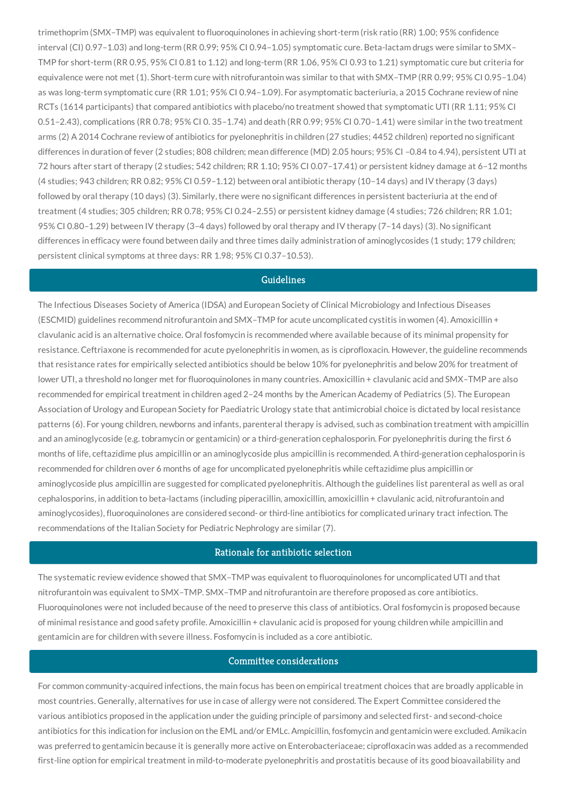trimethoprim (SMX–TMP) was equivalent to fluoroquinolones in achieving short-term (risk ratio (RR) 1.00; 95% confidence interval (CI) 0.97–1.03) and long-term (RR 0.99; 95% CI 0.94–1.05) symptomatic cure. Beta-lactam drugs were similar to SMX– TMP for short-term (RR 0.95, 95% CI 0.81 to 1.12) and long-term (RR 1.06, 95% CI 0.93 to 1.21) symptomatic cure but criteria for equivalence were not met (1). Short-term cure with nitrofurantoin was similar to that with SMX–TMP (RR 0.99; 95% CI 0.95–1.04) as was long-term symptomatic cure (RR 1.01; 95% CI 0.94–1.09). For asymptomatic bacteriuria, a 2015 Cochrane review of nine RCTs (1614 participants) that compared antibiotics with placebo/no treatment showed that symptomatic UTI (RR 1.11; 95% CI 0.51–2.43), complications (RR 0.78; 95% CI 0. 35–1.74) and death (RR 0.99; 95% CI 0.70–1.41) were similar in the two treatment arms (2) A 2014 Cochrane review of antibiotics for pyelonephritis in children (27 studies; 4452 children) reported no significant differences in duration of fever (2 studies; 808 children; mean difference (MD) 2.05 hours; 95% CI –0.84 to 4.94), persistent UTI at 72 hours after start of therapy (2 studies; 542 children; RR 1.10; 95% CI 0.07–17.41) or persistent kidney damage at 6–12 months (4 studies; 943 children; RR 0.82; 95% CI 0.59–1.12) between oral antibiotic therapy (10–14 days) and IV therapy (3 days) followed by oral therapy (10 days) (3). Similarly, there were no significant differences in persistent bacteriuria at the end of treatment (4 studies; 305 children; RR 0.78; 95% CI 0.24–2.55) or persistent kidney damage (4 studies; 726 children; RR 1.01; 95% CI 0.80–1.29) between IV therapy (3–4 days) followed by oral therapy and IV therapy (7–14 days) (3). No significant differences in efficacy were found between daily and three times daily administration of aminoglycosides (1 study; 179 children; persistent clinical symptoms at three days: RR 1.98; 95% CI 0.37–10.53).

#### Guidelines

The Infectious Diseases Society of America (IDSA) and European Society of Clinical Microbiology and Infectious Diseases (ESCMID) guidelines recommend nitrofurantoin and SMX–TMP for acute uncomplicated cystitis in women (4). Amoxicillin + clavulanic acid is an alternative choice. Oral fosfomycin is recommended where available because of its minimal propensity for resistance. Ceftriaxone is recommended for acute pyelonephritis in women, as is ciprofloxacin. However, the guideline recommends that resistance rates for empirically selected antibiotics should be below 10% for pyelonephritis and below 20% for treatment of lower UTI, a threshold no longer met for fluoroquinolones in many countries. Amoxicillin + clavulanic acid and SMX–TMP are also recommended for empirical treatment in children aged 2–24 months by the American Academy of Pediatrics (5). The European Association of Urology and European Society for Paediatric Urology state that antimicrobial choice is dictated by local resistance patterns (6). For young children, newborns and infants, parenteral therapy is advised, such as combination treatment with ampicillin and an aminoglycoside (e.g. tobramycin or gentamicin) or a third-generation cephalosporin. For pyelonephritis during the first 6 months of life, ceftazidime plus ampicillin or an aminoglycoside plus ampicillin is recommended. A third-generation cephalosporin is recommended for children over 6 months of age for uncomplicated pyelonephritis while ceftazidime plus ampicillin or aminoglycoside plus ampicillin are suggested for complicated pyelonephritis. Although the guidelines list parenteral as well as oral cephalosporins, in addition to beta-lactams (including piperacillin, amoxicillin, amoxicillin + clavulanic acid, nitrofurantoin and aminoglycosides), fluoroquinolones are considered second- or third-line antibiotics for complicated urinary tract infection. The recommendations of the Italian Society for Pediatric Nephrology are similar (7).

### Rationale for antibiotic selection

The systematic review evidence showed that SMX–TMP was equivalent to fluoroquinolones for uncomplicated UTI and that nitrofurantoin was equivalent to SMX–TMP. SMX–TMP and nitrofurantoin are therefore proposed as core antibiotics. Fluoroquinolones were not included because of the need to preserve this class of antibiotics. Oral fosfomycin is proposed because of minimal resistance and good safety profile. Amoxicillin + clavulanic acid is proposed for young children while ampicillin and gentamicin are for children with severe illness. Fosfomycin is included as a core antibiotic.

### Committee considerations

For common community-acquired infections, the main focus has been on empirical treatment choices that are broadly applicable in most countries. Generally, alternatives for use in case of allergy were not considered. The Expert Committee considered the various antibiotics proposed in the application under the guiding principle of parsimony and selected first- and second-choice antibiotics for this indication for inclusion on the EML and/or EMLc. Ampicillin, fosfomycin and gentamicin were excluded. Amikacin was preferred to gentamicin because it is generally more active on Enterobacteriaceae; ciprofloxacin was added as a recommended first-line option for empirical treatment in mild-to-moderate pyelonephritis and prostatitis because of its good bioavailability and